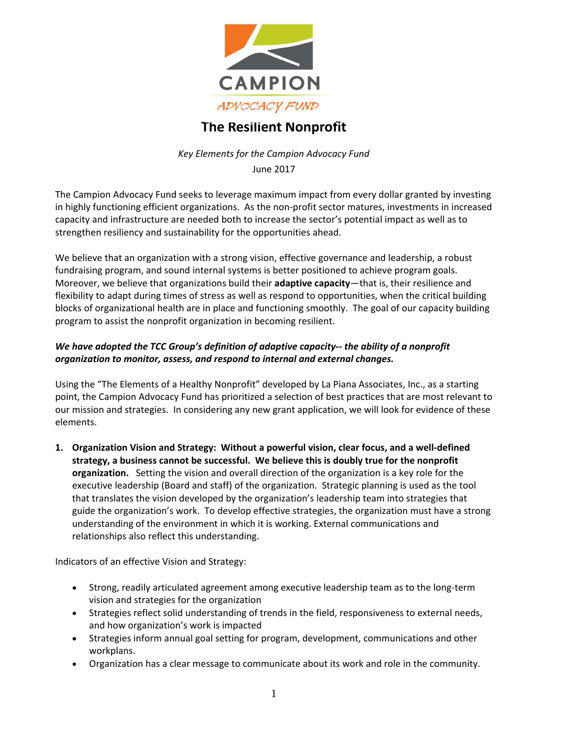

## **The Resilient Nonprofit**

*Key Elements for the Campion Advocacy Fund* June 2017

The Campion Advocacy Fund seeks to leverage maximum impact from every dollar granted by investing in highly functioning efficient organizations. As the non-profit sector matures, investments in increased capacity and infrastructure are needed both to increase the sector's potential impact as well as to strengthen resiliency and sustainability for the opportunities ahead.

We believe that an organization with a strong vision, effective governance and leadership, a robust fundraising program, and sound internal systems is better positioned to achieve program goals. Moreover, we believe that organizations build their **adaptive capacity**—that is, their resilience and flexibility to adapt during times of stress as well as respond to opportunities, when the critical building blocks of organizational health are in place and functioning smoothly. The goal of our capacity building program to assist the nonprofit organization in becoming resilient.

## *We have adopted the TCC Group's definition of adaptive capacity‐‐ the ability of a nonprofit organization to monitor, assess, and respond to internal and external changes.*

Using the "The Elements of a Healthy Nonprofit" developed by La Piana Associates, Inc., as a starting point, the Campion Advocacy Fund has prioritized a selection of best practices that are most relevant to our mission and strategies. In considering any new grant application, we will look for evidence of these elements.

**1. Organization Vision and Strategy: Without a powerful vision, clear focus, and a well‐defined strategy, a business cannot be successful. We believe this is doubly true for the nonprofit organization.** Setting the vision and overall direction of the organization is a key role for the executive leadership (Board and staff) of the organization. Strategic planning is used as the tool that translates the vision developed by the organization's leadership team into strategies that guide the organization's work. To develop effective strategies, the organization must have a strong understanding of the environment in which it is working. External communications and relationships also reflect this understanding.

Indicators of an effective Vision and Strategy:

- Strong, readily articulated agreement among executive leadership team as to the long‐term vision and strategies for the organization
- Strategies reflect solid understanding of trends in the field, responsiveness to external needs, and how organization's work is impacted
- Strategies inform annual goal setting for program, development, communications and other workplans.
- Organization has a clear message to communicate about its work and role in the community.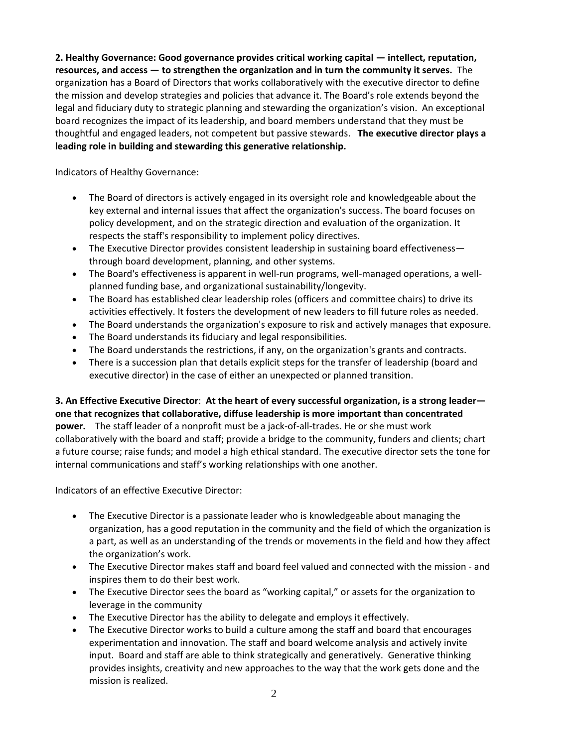**2. Healthy Governance: Good governance provides critical working capital — intellect, reputation, resources, and access — to strengthen the organization and in turn the community it serves.** The organization has a Board of Directors that works collaboratively with the executive director to define the mission and develop strategies and policies that advance it. The Board's role extends beyond the legal and fiduciary duty to strategic planning and stewarding the organization's vision. An exceptional board recognizes the impact of its leadership, and board members understand that they must be thoughtful and engaged leaders, not competent but passive stewards. **The executive director plays a leading role in building and stewarding this generative relationship.**

Indicators of Healthy Governance:

- The Board of directors is actively engaged in its oversight role and knowledgeable about the key external and internal issues that affect the organization's success. The board focuses on policy development, and on the strategic direction and evaluation of the organization. It respects the staff's responsibility to implement policy directives.
- The Executive Director provides consistent leadership in sustaining board effectiveness through board development, planning, and other systems.
- The Board's effectiveness is apparent in well-run programs, well-managed operations, a wellplanned funding base, and organizational sustainability/longevity.
- The Board has established clear leadership roles (officers and committee chairs) to drive its activities effectively. It fosters the development of new leaders to fill future roles as needed.
- The Board understands the organization's exposure to risk and actively manages that exposure.
- The Board understands its fiduciary and legal responsibilities.
- The Board understands the restrictions, if any, on the organization's grants and contracts.
- There is a succession plan that details explicit steps for the transfer of leadership (board and executive director) in the case of either an unexpected or planned transition.

**3. An Effective Executive Director**: **At the heart of every successful organization, is a strong leader one that recognizes that collaborative, diffuse leadership is more important than concentrated** power. The staff leader of a nonprofit must be a jack-of-all-trades. He or she must work collaboratively with the board and staff; provide a bridge to the community, funders and clients; chart a future course; raise funds; and model a high ethical standard. The executive director sets the tone for internal communications and staff's working relationships with one another.

Indicators of an effective Executive Director:

- The Executive Director is a passionate leader who is knowledgeable about managing the organization, has a good reputation in the community and the field of which the organization is a part, as well as an understanding of the trends or movements in the field and how they affect the organization's work.
- The Executive Director makes staff and board feel valued and connected with the mission ‐ and inspires them to do their best work.
- The Executive Director sees the board as "working capital," or assets for the organization to leverage in the community
- The Executive Director has the ability to delegate and employs it effectively.
- The Executive Director works to build a culture among the staff and board that encourages experimentation and innovation. The staff and board welcome analysis and actively invite input. Board and staff are able to think strategically and generatively. Generative thinking provides insights, creativity and new approaches to the way that the work gets done and the mission is realized.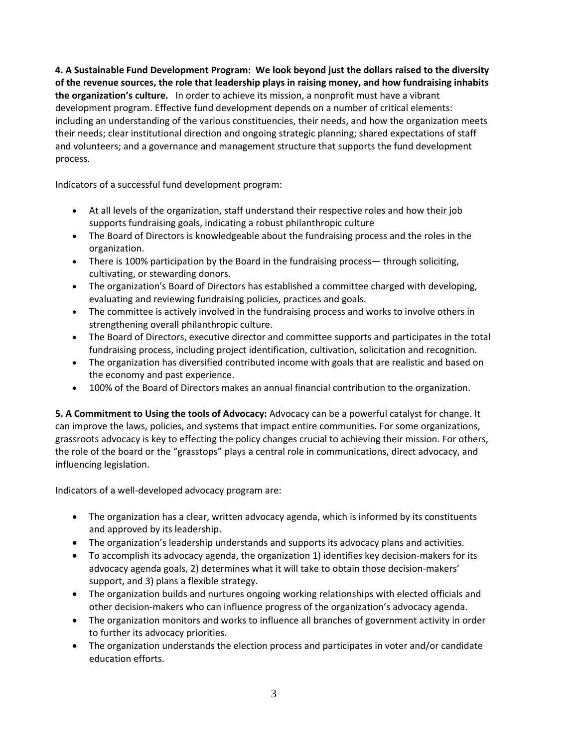**4. A Sustainable Fund Development Program: We look beyond just the dollars raised to the diversity of the revenue sources, the role that leadership plays in raising money, and how fundraising inhabits the organization's culture.** In order to achieve its mission, a nonprofit must have a vibrant development program. Effective fund development depends on a number of critical elements: including an understanding of the various constituencies, their needs, and how the organization meets their needs; clear institutional direction and ongoing strategic planning; shared expectations of staff and volunteers; and a governance and management structure that supports the fund development process.

Indicators of a successful fund development program:

- At all levels of the organization, staff understand their respective roles and how their job supports fundraising goals, indicating a robust philanthropic culture
- The Board of Directors is knowledgeable about the fundraising process and the roles in the organization.
- There is 100% participation by the Board in the fundraising process— through soliciting, cultivating, or stewarding donors.
- The organization's Board of Directors has established a committee charged with developing, evaluating and reviewing fundraising policies, practices and goals.
- The committee is actively involved in the fundraising process and works to involve others in strengthening overall philanthropic culture.
- The Board of Directors, executive director and committee supports and participates in the total fundraising process, including project identification, cultivation, solicitation and recognition.
- The organization has diversified contributed income with goals that are realistic and based on the economy and past experience.
- 100% of the Board of Directors makes an annual financial contribution to the organization.

**5. A Commitment to Using the tools of Advocacy:** Advocacy can be a powerful catalyst for change. It can improve the laws, policies, and systems that impact entire communities. For some organizations, grassroots advocacy is key to effecting the policy changes crucial to achieving their mission. For others, the role of the board or the "grasstops" plays a central role in communications, direct advocacy, and influencing legislation.

Indicators of a well‐developed advocacy program are:

- The organization has a clear, written advocacy agenda, which is informed by its constituents and approved by its leadership.
- The organization's leadership understands and supports its advocacy plans and activities.
- To accomplish its advocacy agenda, the organization 1) identifies key decision‐makers for its advocacy agenda goals, 2) determines what it will take to obtain those decision-makers' support, and 3) plans a flexible strategy.
- The organization builds and nurtures ongoing working relationships with elected officials and other decision‐makers who can influence progress of the organization's advocacy agenda.
- The organization monitors and works to influence all branches of government activity in order to further its advocacy priorities.
- The organization understands the election process and participates in voter and/or candidate education efforts.